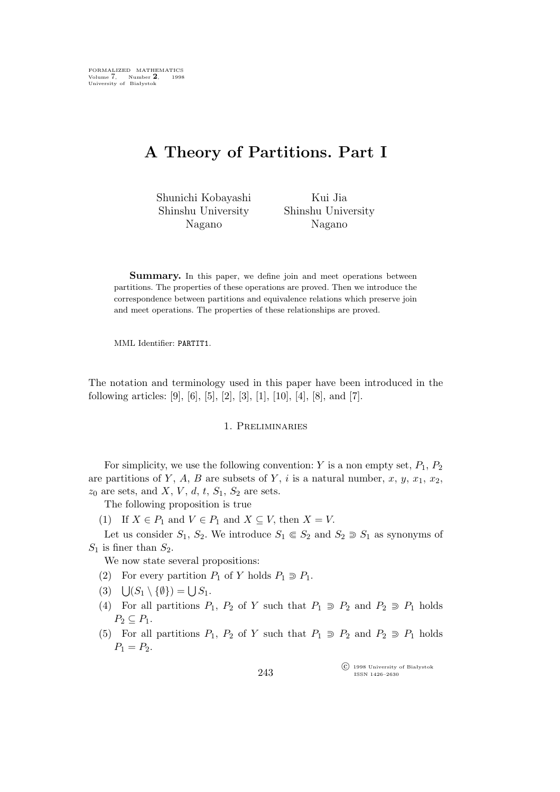# **A Theory of Partitions. Part I**

Shunichi Kobayashi Shinshu University Nagano

Kui Jia Shinshu University Nagano

**Summary.** In this paper, we define join and meet operations between partitions. The properties of these operations are proved. Then we introduce the correspondence between partitions and equivalence relations which preserve join and meet operations. The properties of these relationships are proved.

MML Identifier: PARTIT1.

The notation and terminology used in this paper have been introduced in the following articles: [9], [6], [5], [2], [3], [1], [10], [4], [8], and [7].

### 1. Preliminaries

For simplicity, we use the following convention: Y is a non empty set,  $P_1$ ,  $P_2$ are partitions of Y, A, B are subsets of Y, i is a natural number, x, y,  $x_1, x_2$ ,  $z_0$  are sets, and X, V, d, t,  $S_1$ ,  $S_2$  are sets.

The following proposition is true

(1) If  $X \in P_1$  and  $V \in P_1$  and  $X \subseteq V$ , then  $X = V$ .

Let us consider  $S_1$ ,  $S_2$ . We introduce  $S_1 \n\in S_2$  and  $S_2 \n\supseteq S_1$  as synonyms of  $S_1$  is finer than  $S_2$ .

We now state several propositions:

- (2) For every partition  $P_1$  of Y holds  $P_1 \supseteq P_1$ .
- $(3) \quad \bigcup (S_1 \setminus \{\emptyset\}) = \bigcup S_1.$
- (4) For all partitions  $P_1$ ,  $P_2$  of Y such that  $P_1 \supseteq P_2$  and  $P_2 \supseteq P_1$  holds  $P_2 \subseteq P_1$ .
- (5) For all partitions  $P_1$ ,  $P_2$  of Y such that  $P_1 \supseteq P_2$  and  $P_2 \supseteq P_1$  holds  $P_1 = P_2.$

°c 1998 University of Białystok ISSN 1426–2630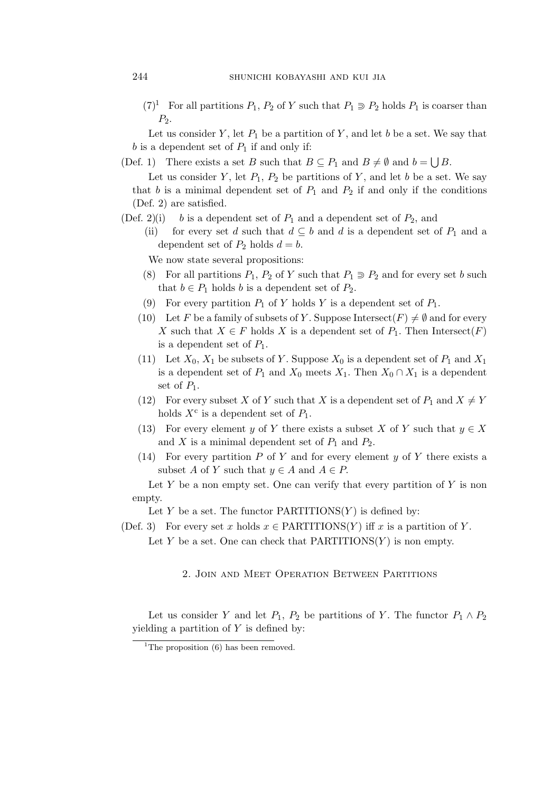$(7)^1$  For all partitions  $P_1$ ,  $P_2$  of Y such that  $P_1 \supseteq P_2$  holds  $P_1$  is coarser than  $P_2$ .

Let us consider Y, let  $P_1$  be a partition of Y, and let b be a set. We say that b is a dependent set of  $P_1$  if and only if:

(Def. 1) There exists a set B such that  $B \subseteq P_1$  and  $B \neq \emptyset$  and  $b = \bigcup B$ .

Let us consider Y, let  $P_1$ ,  $P_2$  be partitions of Y, and let b be a set. We say that b is a minimal dependent set of  $P_1$  and  $P_2$  if and only if the conditions (Def. 2) are satisfied.

- (Def. 2)(i) b is a dependent set of  $P_1$  and a dependent set of  $P_2$ , and
	- (ii) for every set d such that  $d \subseteq b$  and d is a dependent set of  $P_1$  and a dependent set of  $P_2$  holds  $d = b$ .

We now state several propositions:

- (8) For all partitions  $P_1$ ,  $P_2$  of Y such that  $P_1 \supseteq P_2$  and for every set b such that  $b \in P_1$  holds b is a dependent set of  $P_2$ .
- (9) For every partition  $P_1$  of Y holds Y is a dependent set of  $P_1$ .
- (10) Let F be a family of subsets of Y. Suppose Intersect(F)  $\neq \emptyset$  and for every X such that  $X \in F$  holds X is a dependent set of  $P_1$ . Then Intersect(F) is a dependent set of  $P_1$ .
- (11) Let  $X_0, X_1$  be subsets of Y. Suppose  $X_0$  is a dependent set of  $P_1$  and  $X_1$ is a dependent set of  $P_1$  and  $X_0$  meets  $X_1$ . Then  $X_0 \cap X_1$  is a dependent set of  $P_1$ .
- (12) For every subset X of Y such that X is a dependent set of  $P_1$  and  $X \neq Y$ holds  $X^c$  is a dependent set of  $P_1$ .
- (13) For every element y of Y there exists a subset X of Y such that  $y \in X$ and X is a minimal dependent set of  $P_1$  and  $P_2$ .
- (14) For every partition  $P$  of  $Y$  and for every element  $y$  of  $Y$  there exists a subset A of Y such that  $y \in A$  and  $A \in P$ .

Let Y be a non empty set. One can verify that every partition of Y is non empty.

Let Y be a set. The functor  $PARTITIONS(Y)$  is defined by:

- (Def. 3) For every set x holds  $x \in \text{PARTITIONS}(Y)$  iff x is a partition of Y.
	- Let Y be a set. One can check that  $PARTITIONS(Y)$  is non empty.

## 2. Join and Meet Operation Between Partitions

Let us consider Y and let  $P_1$ ,  $P_2$  be partitions of Y. The functor  $P_1 \wedge P_2$ yielding a partition of  $Y$  is defined by:

<sup>&</sup>lt;sup>1</sup>The proposition  $(6)$  has been removed.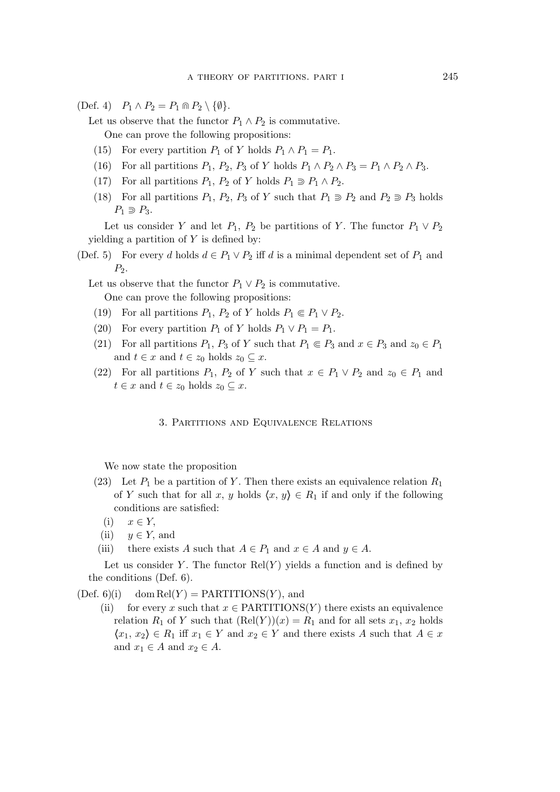$(\text{Def. 4})$   $P_1 \wedge P_2 = P_1 \cap P_2 \setminus \{\emptyset\}.$ 

Let us observe that the functor  $P_1 \wedge P_2$  is commutative. One can prove the following propositions:

- (15) For every partition  $P_1$  of Y holds  $P_1 \wedge P_1 = P_1$ .
- (16) For all partitions  $P_1$ ,  $P_2$ ,  $P_3$  of Y holds  $P_1 \wedge P_2 \wedge P_3 = P_1 \wedge P_2 \wedge P_3$ .
- (17) For all partitions  $P_1$ ,  $P_2$  of Y holds  $P_1 \supseteq P_1 \wedge P_2$ .
- (18) For all partitions  $P_1$ ,  $P_2$ ,  $P_3$  of Y such that  $P_1 \supseteq P_2$  and  $P_2 \supseteq P_3$  holds  $P_1 \supset P_3$ .

Let us consider Y and let  $P_1$ ,  $P_2$  be partitions of Y. The functor  $P_1 \vee P_2$ yielding a partition of  $Y$  is defined by:

(Def. 5) For every d holds  $d \in P_1 \vee P_2$  iff d is a minimal dependent set of  $P_1$  and  $P_2$ .

Let us observe that the functor  $P_1 \vee P_2$  is commutative. One can prove the following propositions:

- (19) For all partitions  $P_1$ ,  $P_2$  of Y holds  $P_1 \nsubseteq P_1 \vee P_2$ .
- (20) For every partition  $P_1$  of Y holds  $P_1 \vee P_1 = P_1$ .
- (21) For all partitions  $P_1$ ,  $P_3$  of Y such that  $P_1 \nsubseteq P_3$  and  $x \in P_3$  and  $z_0 \in P_1$ and  $t \in x$  and  $t \in z_0$  holds  $z_0 \subseteq x$ .
- (22) For all partitions  $P_1$ ,  $P_2$  of Y such that  $x \in P_1 \vee P_2$  and  $z_0 \in P_1$  and  $t \in x$  and  $t \in z_0$  holds  $z_0 \subseteq x$ .

#### 3. Partitions and Equivalence Relations

We now state the proposition

- (23) Let  $P_1$  be a partition of Y. Then there exists an equivalence relation  $R_1$ of Y such that for all x, y holds  $\langle x, y \rangle \in R_1$  if and only if the following conditions are satisfied:
	- (i) x *∈* Y,
	- (ii)  $y \in Y$ , and
- (iii) there exists A such that  $A \in P_1$  and  $x \in A$  and  $y \in A$ .

Let us consider Y. The functor  $Rel(Y)$  yields a function and is defined by the conditions (Def. 6).

 $(Def. 6)(i)$  dom  $Rel(Y) = PARTITIONS(Y)$ , and

(ii) for every x such that  $x \in \text{PARTITIONS}(Y)$  there exists an equivalence relation  $R_1$  of Y such that  $(Rel(Y))(x) = R_1$  and for all sets  $x_1, x_2$  holds  $\langle x_1, x_2 \rangle \in R_1$  iff  $x_1 \in Y$  and  $x_2 \in Y$  and there exists A such that  $A \in x$ and  $x_1 \in A$  and  $x_2 \in A$ .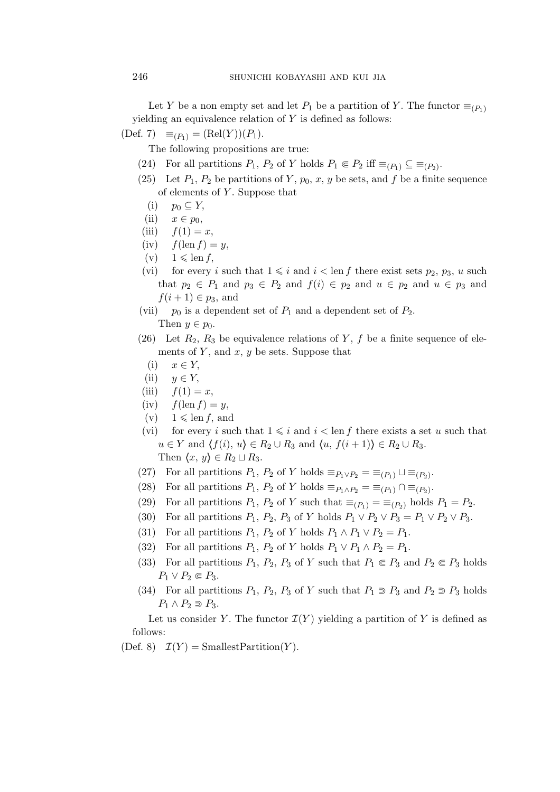Let Y be a non empty set and let  $P_1$  be a partition of Y. The functor  $\equiv_{(P_1)}$ yielding an equivalence relation of  $Y$  is defined as follows:

 $(\text{Def. 7}) \equiv_{(P_1)} = (\text{Rel}(Y))(P_1).$ 

The following propositions are true:

- (24) For all partitions  $P_1$ ,  $P_2$  of Y holds  $P_1 \n\t\in P_2$  iff  $\equiv_{(P_1)} \subseteq \equiv_{(P_2)}$ .
- (25) Let  $P_1$ ,  $P_2$  be partitions of Y,  $p_0$ , x, y be sets, and f be a finite sequence of elements of Y . Suppose that
	- $(i)$   $p_0 \subseteq Y$ ,
	- $(ii)$   $x \in p_0$ ,
- (iii)  $f(1) = x$ ,
- (iv)  $f(\text{len } f) = y$ ,
- $(v)$   $1 \leqslant \text{len } f$ ,
- (vi) for every i such that  $1 \leq i$  and  $i < \text{len } f$  there exist sets  $p_2, p_3, u$  such that  $p_2 \in P_1$  and  $p_3 \in P_2$  and  $f(i) \in p_2$  and  $u \in p_3$  and  $u \in p_3$  and  $f(i + 1) \in p_3$ , and
- (vii)  $p_0$  is a dependent set of  $P_1$  and a dependent set of  $P_2$ .

Then  $y \in p_0$ .

- (26) Let  $R_2, R_3$  be equivalence relations of Y, f be a finite sequence of elements of  $Y$ , and  $x, y$  be sets. Suppose that
	- (i) x *∈* Y,
- (ii)  $y \in Y$ ,
- (iii)  $f(1) = x$ ,
- (iv)  $f(\operatorname{len} f) = y$ ,
- $(v)$   $1 \leqslant \text{len } f$ , and
- (vi) for every i such that  $1 \leq i$  and  $i < \text{len } f$  there exists a set u such that  $u \in Y$  and  $\langle f(i), u \rangle \in R_2 \cup R_3$  and  $\langle u, f(i+1) \rangle \in R_2 \cup R_3$ . Then  $\langle x, y \rangle \in R_2 \sqcup R_3$ .
- (27) For all partitions  $P_1$ ,  $P_2$  of Y holds  $\equiv_{P_1 \vee P_2} \equiv \equiv_{(P_1)} \sqcup \equiv_{(P_2)}$ .
- (28) For all partitions  $P_1$ ,  $P_2$  of Y holds  $\equiv_{P_1 \wedge P_2} \equiv \equiv_{(P_1)} \cap \equiv_{(P_2)}$ .
- (29) For all partitions  $P_1$ ,  $P_2$  of Y such that  $\equiv_{(P_1)} \equiv \equiv_{(P_2)}$  holds  $P_1 = P_2$ .
- (30) For all partitions  $P_1$ ,  $P_2$ ,  $P_3$  of Y holds  $P_1 \vee P_2 \vee P_3 = P_1 \vee P_2 \vee P_3$ .
- (31) For all partitions  $P_1$ ,  $P_2$  of Y holds  $P_1 \wedge P_1 \vee P_2 = P_1$ .
- (32) For all partitions  $P_1$ ,  $P_2$  of Y holds  $P_1 \vee P_1 \wedge P_2 = P_1$ .
- (33) For all partitions  $P_1$ ,  $P_2$ ,  $P_3$  of Y such that  $P_1 \nsubseteq P_3$  and  $P_2 \nsubseteq P_3$  holds  $P_1 \vee P_2 \in P_3$ .
- (34) For all partitions  $P_1$ ,  $P_2$ ,  $P_3$  of Y such that  $P_1 \supseteq P_3$  and  $P_2 \supseteq P_3$  holds  $P_1 \wedge P_2 \supseteq P_3$ .

Let us consider Y. The functor  $\mathcal{I}(Y)$  yielding a partition of Y is defined as follows:

(Def. 8)  $\mathcal{I}(Y) = \text{SmallestPartition}(Y)$ .